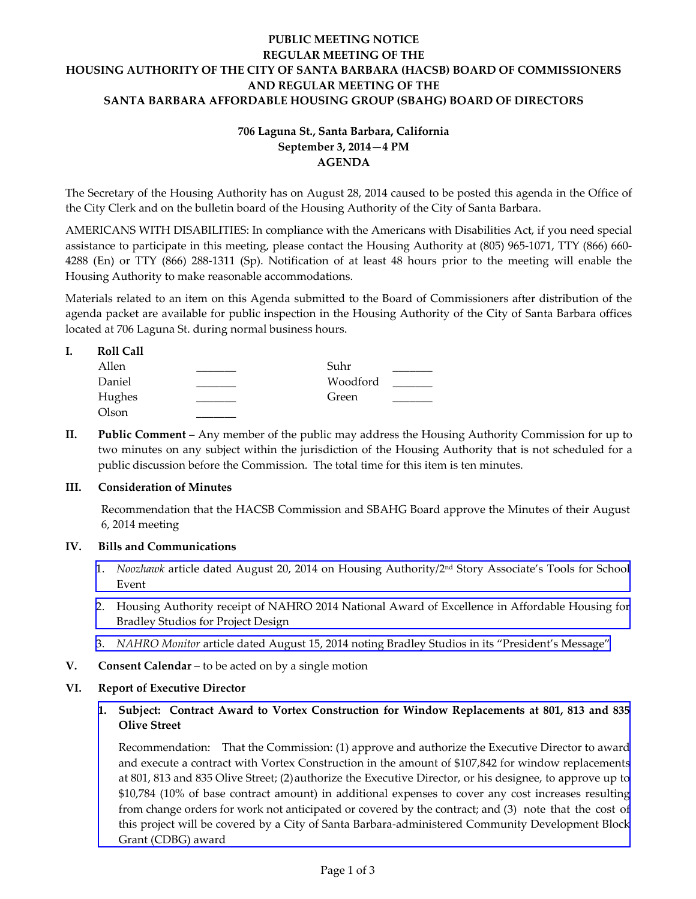# **PUBLIC MEETING NOTICE REGULAR MEETING OF THE HOUSING AUTHORITY OF THE CITY OF SANTA BARBARA (HACSB) BOARD OF COMMISSIONERS AND REGULAR MEETING OF THE SANTA BARBARA AFFORDABLE HOUSING GROUP (SBAHG) BOARD OF DIRECTORS**

# **706 Laguna St., Santa Barbara, California September 3, 2014—4 PM AGENDA**

The Secretary of the Housing Authority has on August 28, 2014 caused to be posted this agenda in the Office of the City Clerk and on the bulletin board of the Housing Authority of the City of Santa Barbara.

AMERICANS WITH DISABILITIES: In compliance with the Americans with Disabilities Act, if you need special assistance to participate in this meeting, please contact the Housing Authority at (805) 965-1071, TTY (866) 660- 4288 (En) or TTY (866) 288-1311 (Sp). Notification of at least 48 hours prior to the meeting will enable the Housing Authority to make reasonable accommodations.

Materials related to an item on this Agenda submitted to the Board of Commissioners after distribution of the agenda packet are available for public inspection in the Housing Authority of the City of Santa Barbara offices located at 706 Laguna St. during normal business hours.

| I. | Roll Call |  |
|----|-----------|--|
|    | Allen     |  |

| Allen  | Suhr     |  |
|--------|----------|--|
| Daniel | Woodford |  |
| Hughes | Green    |  |
| Olson  |          |  |

**II. Public Comment** – Any member of the public may address the Housing Authority Commission for up to two minutes on any subject within the jurisdiction of the Housing Authority that is not scheduled for a public discussion before the Commission. The total time for this item is ten minutes.

# **III. Consideration of Minutes**

Recommendation that the HACSB Commission and SBAHG Board approve the Minutes of their August 6, 2014 meeting

# **IV. Bills and Communications**

- 1. *Noozhawk* [article dated August 20, 2014 on Housing Authority/2nd Story Associate's Tools for School](http://www.hacsb.org/Library/agendas_minutes/2014/agenda_packet/Agenda_Packet_2014_09_03/item_IV_I_2014_09_03.pdf) Event
- 2. [Housing Authority receipt of NAHRO 2014 National Award of Excellence in Affordable Housing for](http://www.hacsb.org/Library/agendas_minutes/2014/agenda_packet/Agenda_Packet_2014_09_03/item_IV_II_2014_09_03.pdf) Bradley Studios for Project Design
- 3. *NAHRO Monitor* [article dated August 15, 2014 noting Bradley Studios in its "President's Message"](http://www.hacsb.org/Library/agendas_minutes/2014/agenda_packet/Agenda_Packet_2014_09_03/item_IV_III_2014_09_03.pdf)
- **V. Consent Calendar** to be acted on by a single motion

# **VI. Report of Executive Director**

**1. Subject: Contract Award to Vortex Construction for Window Replacements at 801, 813 and 835 Olive Street** 

Recommendation: That the Commission: (1) approve and authorize the Executive Director to award and execute a contract with Vortex Construction in the amount of \$107,842 for window replacements [at 801, 813 and 835 Olive Street; \(2\) authorize the Executive Director, or his designee, to approve up to](http://www.hacsb.org/Library/agendas_minutes/2014/agenda_packet/Agenda_Packet_2014_09_03/item_VI_I_2014_09_03.pdf)  \$10,784 (10% of base contract amount) in additional expenses to cover any cost increases resulting from change orders for work not anticipated or covered by the contract; and (3) note that the cost of this project will be covered by a City of Santa Barbara-administered Community Development Block Grant (CDBG) award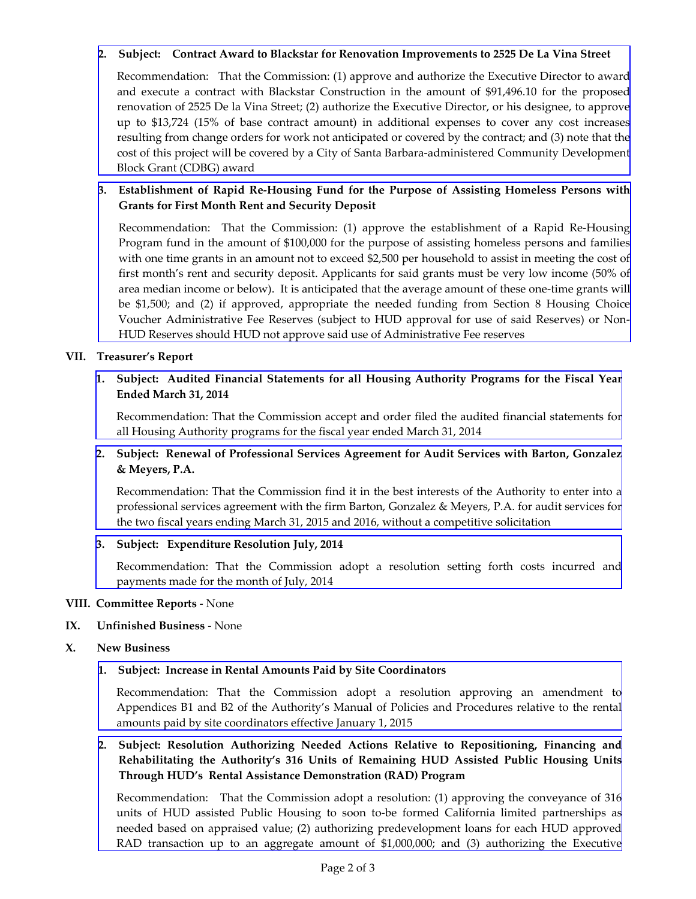# **2. Subject: Contract Award to Blackstar for Renovation Improvements to 2525 De La Vina Street**

Recommendation: That the Commission: (1) approve and authorize the Executive Director to award and execute a contract with Blackstar Construction in the amount of \$91,496.10 for the proposed renovation of 2525 De la Vina Street; (2) authorize the Executive Director, or his designee, to approve [up to \\$13,724 \(15% of base contract amount\) in additional expenses to cover any cost increases](http://www.hacsb.org/Library/agendas_minutes/2014/agenda_packet/Agenda_Packet_2014_09_03/item_VI_II_2014_09_03.pdf)  resulting from change orders for work not anticipated or covered by the contract; and (3) note that the cost of this project will be covered by a City of Santa Barbara-administered Community Development Block Grant (CDBG) award

# **3. Establishment of Rapid Re-Housing Fund for the Purpose of Assisting Homeless Persons with Grants for First Month Rent and Security Deposit**

Recommendation: That the Commission: (1) approve the establishment of a Rapid Re-Housing [Program fund in the amount of \\$100,000 for the purpose of assisting homeless persons and families](http://www.hacsb.org/Library/agendas_minutes/2014/agenda_packet/Agenda_Packet_2014_09_03/item_VI_III_2014_09_03.pdf)  with one time grants in an amount not to exceed \$2,500 per household to assist in meeting the cost of first month's rent and security deposit. Applicants for said grants must be very low income (50% of area median income or below). It is anticipated that the average amount of these one-time grants will be \$1,500; and (2) if approved, appropriate the needed funding from Section 8 Housing Choice Voucher Administrative Fee Reserves (subject to HUD approval for use of said Reserves) or Non-HUD Reserves should HUD not approve said use of Administrative Fee reserves

# **VII. Treasurer's Report**

# **1. [Subject: Audited Financial Statements for all Housing Authority Programs for the Fiscal Year](http://www.hacsb.org/Library/agendas_minutes/2014/agenda_packet/Agenda_Packet_2014_09_03/item_VII_I_2014_09_03.pdf) Ended March 31, 2014**

Recommendation: That the Commission accept and order filed the audited financial statements for all Housing Authority programs for the fiscal year ended March 31, 2014

# **2. [Subject: Renewal of Professional Services Agreement for Audit Services with Barton, Gonzalez](http://www.hacsb.org/Library/agendas_minutes/2014/agenda_packet/Agenda_Packet_2014_09_03/item_VII_II_2014_09_03.pdf) & Meyers, P.A.**

Recommendation: That the Commission find it in the best interests of the Authority to enter into a professional services agreement with the firm Barton, Gonzalez & Meyers, P.A. for audit services for the two fiscal years ending March 31, 2015 and 2016, without a competitive solicitation

# **3. Subject: Expenditure Resolution July, 2014**

[Recommendation: That the Commission adopt a resolution setting forth costs incurred and](http://www.hacsb.org/Library/agendas_minutes/2014/agenda_packet/Agenda_Packet_2014_09_03/item_VII_III_2014_09_03.pdf) payments made for the month of July, 2014

#### **VIII. Committee Reports** - None

# **IX. Unfinished Business** - None

**X. New Business** 

# **1. Subject: Increase in Rental Amounts Paid by Site Coordinators**

Recommendation: That the Commission adopt a resolution approving an amendment to [Appendices B1 and B2 of the Authority's Manual of Policies and Procedures relative to the rental](http://www.hacsb.org/Library/agendas_minutes/2014/agenda_packet/Agenda_Packet_2014_09_03/item_X_I_2014_09_03.pdf) amounts paid by site coordinators effective January 1, 2015

# **2. Subject: Resolution Authorizing Needed Actions Relative to Repositioning, Financing and Rehabilitating the Authority's 316 Units of Remaining HUD Assisted Public Housing Units Through HUD's Rental Assistance Demonstration (RAD) Program**

[Recommendation: That the Commission adopt a resolution: \(1\) approving the conveyance of 316](http://www.hacsb.org/Library/agendas_minutes/2014/agenda_packet/Agenda_Packet_2014_09_03/item_X_II_2014_09_03.pdf) units of HUD assisted Public Housing to soon to-be formed California limited partnerships as needed based on appraised value; (2) authorizing predevelopment loans for each HUD approved RAD transaction up to an aggregate amount of \$1,000,000; and (3) authorizing the Executive